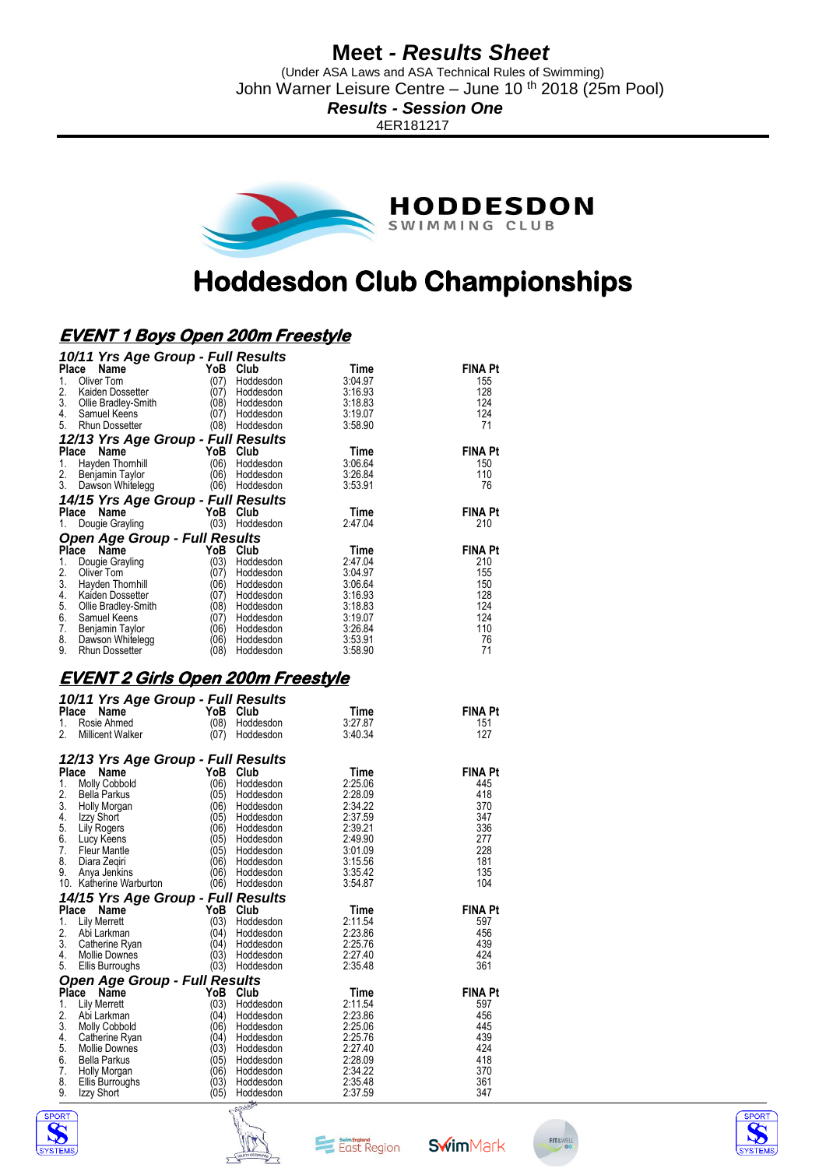(Under ASA Laws and ASA Technical Rules of Swimming) John Warner Leisure Centre – June 10 th 2018 (25m Pool)

*Results - Session One*

4ER181217



# **Hoddesdon Club Championships**

### **EVENT 1 Boys Open 200m Freestyle**

| 10/11 Yrs Age Group - Full Results               |                                          |                 |                       |
|--------------------------------------------------|------------------------------------------|-----------------|-----------------------|
| Place<br>Name                                    | YoB Club                                 | Time            | <b>FINA Pt</b>        |
| Oliver Tom<br>1.                                 | (07)<br>Hoddesdon                        | 3:04.97         | 155                   |
| 2.<br>Kaiden Dossetter                           | (07)<br>Hoddesdon                        | 3:16.93         | 128                   |
| 3.<br>Ollie Bradley-Smith                        | (08)<br>Hoddesdon                        | 3:18.83         | 124                   |
| 4.<br>Samuel Keens                               | (07)<br>Hoddesdon                        | 3:19.07         | 124                   |
| 5. Rhun Dossetter                                | (08) Hoddesdon                           | 3:58.90         | 71                    |
| 12/13 Yrs Age Group - Full Results               |                                          |                 |                       |
| Place Name                                       | YoB Club                                 | Time            | <b>FINA Pt</b>        |
| 1.<br>Hayden Thomhill                            | (06)<br>Hoddesdon                        | 3:06.64         | 150                   |
| 2.<br>Benjamin Taylor                            | (06)<br>Hoddesdon                        | 3:26.84         | 110                   |
| 3.<br>Dawson Whitelegg                           | (06) Hoddesdon                           | 3:53.91         | 76                    |
| 14/15 Yrs Age Group - Full Results               |                                          |                 |                       |
| Place<br>Name                                    | YoB<br>Club                              | Time            | <b>FINA Pt</b>        |
| 1.<br>Dougie Grayling                            | (03) Hoddesdon                           | 2:47.04         | 210                   |
| Open Age Group - Full Results                    |                                          |                 |                       |
| Place Name                                       | YoB Club                                 | Time            | <b>FINA Pt</b>        |
| 1.<br>Dougie Grayling                            | (03)<br>Hoddesdon                        | 2:47.04         | 210                   |
| 2.<br>Oliver Tom                                 | (07)<br>Hoddesdon                        | 3:04.97         | 155                   |
| 3. Hayden Thomhill                               | (06)<br>Hoddesdon                        | 3:06.64         | 150                   |
| 4.<br>Kaiden Dossetter                           | (07)<br>Hoddesdon                        | 3:16.93         | 128                   |
| 5.<br>Ollie Bradley-Smith                        | (08)<br>Hoddesdon                        | 3:18.83         | 124                   |
| 6.<br>Samuel Keens                               | (07)<br>Hoddesdon                        | 3:19.07         | 124                   |
| 7.<br>Benjamin Taylor                            | (06)<br>Hoddesdon                        | 3:26.84         | 110                   |
| 8.<br>Dawson Whitelegg                           | (06)<br>Hoddesdon                        | 3:53.91         | 76                    |
| 9.<br><b>Rhun Dossetter</b>                      | (08)<br>Hoddesdon                        | 3:58.90         | 71                    |
|                                                  | <u>EVENT 2 Girls Open 200m Freestyle</u> |                 |                       |
|                                                  |                                          |                 |                       |
| 10/11 Yrs Age Group - Full Results<br>Place Name | YoB Club                                 |                 |                       |
| 1.<br>Rosie Ahmed                                | (08)<br>Hoddesdon                        | Time<br>3:27.87 | <b>FINA Pt</b><br>151 |
| <b>Millicent Walker</b><br>2.                    | (07)<br>Hoddesdon                        | 3:40.34         | 127                   |
|                                                  |                                          |                 |                       |
| 12/13 Yrs Age Group - Full Results               |                                          |                 |                       |
| Place Name                                       | YoB<br>Club                              | Time            | <b>FINA Pt</b>        |
| 1.<br><b>Molly Cobbold</b>                       | (06)<br>Hoddesdon                        | 2:25.06         | 445                   |
| 2.<br>Bella Parkus                               | (05)<br>Hoddesdon                        | 2:28.09         | 418                   |
| 3.<br>Holly Morgan                               | (06)<br>Hoddesdon                        | 2:34.22         | 370                   |
| 4.<br>Izzy Short                                 | (05)<br>Hoddesdon                        | 2:37.59         | 347                   |
| 5.<br><b>Lily Rogers</b>                         | (06)<br>Hoddesdon                        | 2:39.21         | 336                   |
| 6.<br>Lucy Keens                                 | (05)<br>Hoddesdon                        | 2:49.90         | 277                   |
| 7.<br><b>Fleur Mantle</b>                        | (05)<br>Hoddesdon                        | 3:01.09         | 228                   |
| 8.<br>Diara Zeqiri                               | (06)<br>Hoddesdon                        | 3:15.56         | 181                   |
| 0 Ania Inpline                                   | ∖ء∩≀<br><b>Lloddoodon</b>                | 9.95A9          | イウに                   |

| <b>I</b> .    | Fieur Mariue                         | וטט  | <b>HUUUUSUUI</b> | J.U I UJ | 220            |
|---------------|--------------------------------------|------|------------------|----------|----------------|
| 8.            | Diara Zegiri                         | (06  | Hoddesdon        | 3:15.56  | 181            |
| 9.            | Anya Jenkins                         | (06) | Hoddesdon        | 3:35.42  | 135            |
|               | 10. Katherine Warburton              | (06) | Hoddesdon        | 3:54.87  | 104            |
|               | 14/15 Yrs Age Group - Full Results   |      |                  |          |                |
|               | Name<br>Place                        | YoB  | Club             | Time     | <b>FINA Pt</b> |
|               | <b>Lily Merrett</b>                  | (03) | Hoddesdon        | 2:11.54  | 597            |
| 2.            | Abi Larkman                          | (04  | Hoddesdon        | 2:23.86  | 456            |
| 3.            | Catherine Ryan                       | (04) | Hoddesdon        | 2:25.76  | 439            |
| 4.            | <b>Mollie Downes</b>                 | (03) | Hoddesdon        | 2:27.40  | 424            |
| 5.            | <b>Ellis Burroughs</b>               | (03) | Hoddesdon        | 2:35.48  | 361            |
|               | <b>Open Age Group - Full Results</b> |      |                  |          |                |
|               | Place Name                           | YoB  | Club             | Time     | <b>FINA Pt</b> |
| 1.            | <b>Lily Merrett</b>                  | (03) | Hoddesdon        | 2:11.54  | 597            |
| 2.            | Abi Larkman                          | (04) | Hoddesdon        | 2:23.86  | 456            |
| 3.            | <b>Molly Cobbold</b>                 | (06  | Hoddesdon        | 2:25.06  | 445            |
|               | Catherine Ryan                       | (04  | Hoddesdon        | 2:25.76  | 439            |
| $\frac{4}{5}$ | Mollie Downes                        | (03) | Hoddesdon        | 2:27.40  | 424            |
| 6.            | <b>Bella Parkus</b>                  | (05) | Hoddesdon        | 2:28.09  | 418            |
| 7.            | Holly Morgan                         | (06  | Hoddesdon        | 2:34.22  | 370            |
| 8.            | Ellis Burroughs                      | (03) | Hoddesdon        | 2:35.48  | 361            |
| 9.            | Izzy Short                           | (05) | Hoddesdon        | 2:37.59  | 347            |







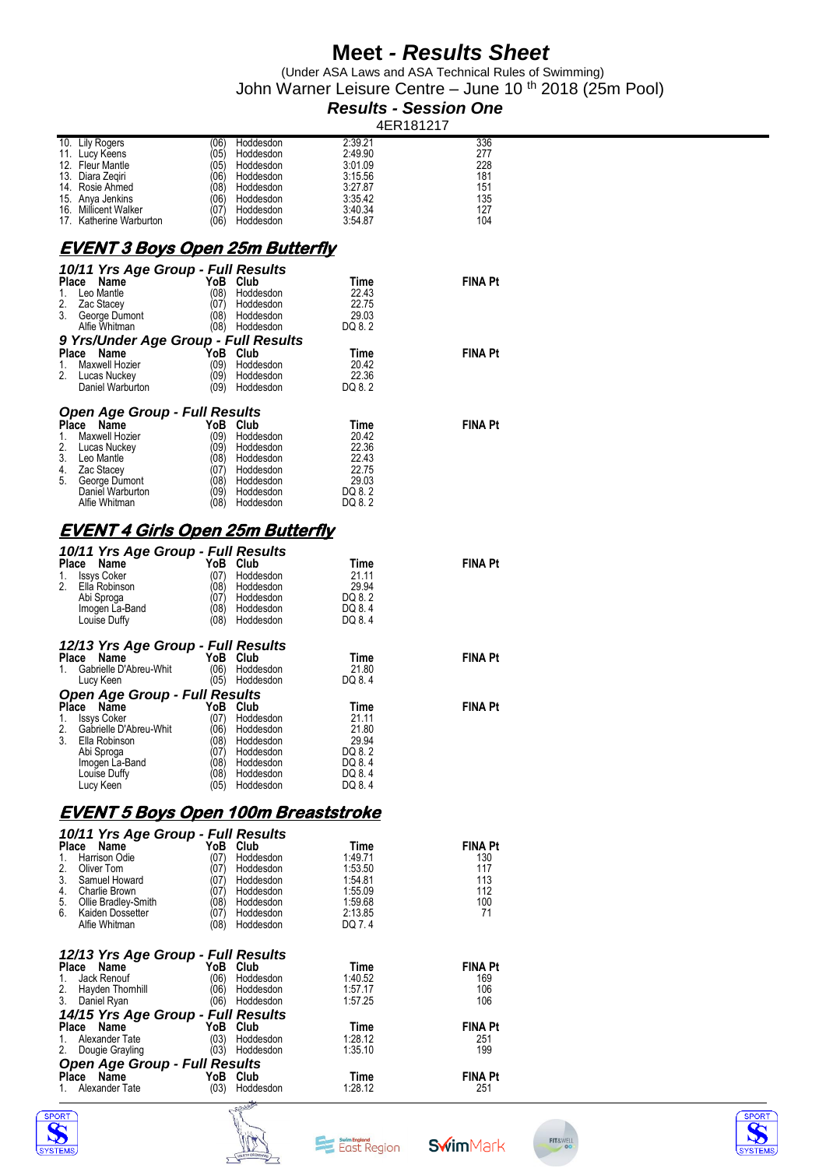(Under ASA Laws and ASA Technical Rules of Swimming) John Warner Leisure Centre – June 10 <sup>th</sup> 2018 (25m Pool)

### *Results - Session One*

| 10. Lily Rogers                            | Hoddesdon<br>(06) | 2:39.21 | 336            |  |
|--------------------------------------------|-------------------|---------|----------------|--|
| 11. Lucy Keens                             | (05)<br>Hoddesdon | 2:49.90 | 277            |  |
| 12. Fleur Mantle                           | (05)<br>Hoddesdon | 3:01.09 | 228            |  |
| 13. Diara Zegiri                           | (06)<br>Hoddesdon | 3:15.56 | 181            |  |
| 14. Rosie Ahmed                            | (08)<br>Hoddesdon | 3:27.87 | 151            |  |
|                                            |                   |         |                |  |
| 15. Anya Jenkins                           | (06)<br>Hoddesdon | 3:35.42 | 135            |  |
| 16. Millicent Walker                       | (07)<br>Hoddesdon | 3:40.34 | 127            |  |
| 17. Katherine Warburton                    | (06)<br>Hoddesdon | 3:54.87 | 104            |  |
|                                            |                   |         |                |  |
| <u>EVENT 3 Boys Open 25m Butterfly</u>     |                   |         |                |  |
|                                            |                   |         |                |  |
| 10/11 Yrs Age Group - Full Results         |                   |         |                |  |
| Place Name                                 | YoB Club          | Time    | <b>FINA Pt</b> |  |
|                                            |                   |         |                |  |
| Leo Mantle<br>1.                           | (08)<br>Hoddesdon | 22.43   |                |  |
| 2.<br>Zac Stacey                           | (07<br>Hoddesdon  | 22.75   |                |  |
| 3.<br>George Dumont                        | (08)<br>Hoddesdon | 29.03   |                |  |
| Alfie Whitman                              | (08) Hoddesdon    | DQ 8.2  |                |  |
| 9 Yrs/Under Age Group - Full Results       |                   |         |                |  |
| Place Name                                 | YoB<br>Club       | Time    | <b>FINA Pt</b> |  |
| Maxwell Hozier<br>1.                       | (09)              | 20.42   |                |  |
|                                            | Hoddesdon         |         |                |  |
| 2.<br>Lucas Nuckey                         | (09)<br>Hoddesdon | 22.36   |                |  |
| Daniel Warburton                           | (09)<br>Hoddesdon | DQ 8.2  |                |  |
|                                            |                   |         |                |  |
| <b>Open Age Group - Full Results</b>       |                   |         |                |  |
| Place Name                                 | YoB Club          | Time    | <b>FINA Pt</b> |  |
| Maxwell Hozier<br>1.                       | (09)<br>Hoddesdon | 20.42   |                |  |
|                                            |                   |         |                |  |
| 2.<br>Lucas Nuckey                         | (09)<br>Hoddesdon | 22.36   |                |  |
| 3.<br>Leo Mantle                           | (08)<br>Hoddesdon | 22.43   |                |  |
| Zac Stacey<br>4.                           | (07)<br>Hoddesdon | 22.75   |                |  |
| 5.<br>George Dumont                        | (08)<br>Hoddesdon | 29.03   |                |  |
| Daniel Warburton                           | (09)<br>Hoddesdon | DQ 8.2  |                |  |
| Alfie Whitman                              | (08)<br>Hoddesdon | DQ 8.2  |                |  |
|                                            |                   |         |                |  |
|                                            |                   |         |                |  |
| <u>EVENT 4 Girls Open 25m Butterfly</u>    |                   |         |                |  |
|                                            |                   |         |                |  |
| 10/11 Yrs Age Group - Full Results         |                   |         |                |  |
| Place Name                                 | YoB Club          | Time    | <b>FINA Pt</b> |  |
| 1.<br><b>Issys Coker</b>                   | (07)<br>Hoddesdon | 21.11   |                |  |
| 2.<br>Ella Robinson                        | (08)<br>Hoddesdon | 29.94   |                |  |
| Abi Sproga                                 | (07)<br>Hoddesdon | DQ 8.2  |                |  |
| Imogen La-Band                             | (08)<br>Hoddesdon | DQ 8.4  |                |  |
| Louise Duffy                               | (08)<br>Hoddesdon | DQ 8.4  |                |  |
|                                            |                   |         |                |  |
| 12/13 Yrs Age Group - Full Results         |                   |         |                |  |
|                                            |                   |         |                |  |
| Place Name                                 | YoB Club          | Time    | <b>FINA Pt</b> |  |
| Gabrielle D'Abreu-Whit<br>1.               | (06)<br>Hoddesdon | 21.80   |                |  |
| Lucy Keen                                  | (05)<br>Hoddesdon | DQ 8.4  |                |  |
| <b>Open Age Group - Full Results</b>       |                   |         |                |  |
| Place Name                                 | YoB.<br>Club      | Time    | <b>FINA Pt</b> |  |
|                                            |                   |         |                |  |
| <b>Issys Coker</b><br>1.                   | (07)<br>Hoddesdon | 21.11   |                |  |
| 2.<br>Gabrielle D'Abreu-Whit               | (06)<br>Hoddesdon | 21.80   |                |  |
| 3.<br>Ella Robinson                        | (08)<br>Hoddesdon | 29.94   |                |  |
| Abi Sproga                                 | (07)<br>Hoddesdon | DQ 8.2  |                |  |
| Imogen La-Band                             | (08)<br>Hoddesdon | DQ 8.4  |                |  |
| Louise Duffy                               | (08)<br>Hoddesdon | DQ 8.4  |                |  |
| Lucy Keen                                  | (05)<br>Hoddesdon | DQ 8.4  |                |  |
|                                            |                   |         |                |  |
|                                            |                   |         |                |  |
| <u>EVENT 5 Boys Open 100m Breaststroke</u> |                   |         |                |  |
| 10/11 Yrs Age Group - Full Results         |                   |         |                |  |
| Place Name                                 | YoB Club          |         | <b>FINA Pt</b> |  |
|                                            |                   | Time    |                |  |
| Harrison Odie<br>1.                        | Hoddesdon<br>(07) | 1:49.71 | 130            |  |
| 2.<br>Oliver Tom                           | (07)<br>Hoddesdon | 1:53.50 | 117            |  |
| 3.<br>Samuel Howard                        | (07)<br>Hoddesdon | 1:54.81 | 113            |  |
| Charlie Brown<br>4.                        | (07)<br>Hoddesdon | 1:55.09 | 112            |  |
| 5.<br>Ollie Bradley-Smith                  | (08)<br>Hoddesdon | 1:59.68 | 100            |  |
| 6.<br>Kaiden Dossetter                     | (07)<br>Hoddesdon | 2:13.85 | 71             |  |
| Alfie Whitman                              | (08)<br>Hoddesdon | DQ 7.4  |                |  |
|                                            |                   |         |                |  |
|                                            |                   |         |                |  |
| 12/13 Yrs Age Group - Full Results         |                   |         |                |  |
| Place Name                                 | YoB Club          | Time    | <b>FINA Pt</b> |  |
| Jack Renouf<br>1.                          | (06)<br>Hoddesdon | 1:40.52 | 169            |  |
| 2.<br>Hayden Thomhill                      | (06)<br>Hoddesdon | 1:57.17 | 106            |  |
| 3.<br>Daniel Ryan                          | (06) Hoddesdon    | 1:57.25 | 106            |  |
|                                            |                   |         |                |  |
| 14/15 Yrs Age Group - Full Results         |                   |         |                |  |
| Place Name                                 | YoB Club          | Time    | <b>FINA Pt</b> |  |
| Alexander Tate<br>1.                       | (03)<br>Hoddesdon | 1:28.12 | 251            |  |
| 2.<br>Dougie Grayling                      | (03)<br>Hoddesdon | 1:35.10 | 199            |  |
| <b>Open Age Group - Full Results</b>       |                   |         |                |  |
|                                            | YoB Club          |         |                |  |
| Place Name                                 |                   | Time    | <b>FINA Pt</b> |  |
|                                            |                   |         |                |  |
| Alexander Tate<br>1.                       | (03) Hoddesdon    | 1:28.12 | 251            |  |







**Swim**Mark

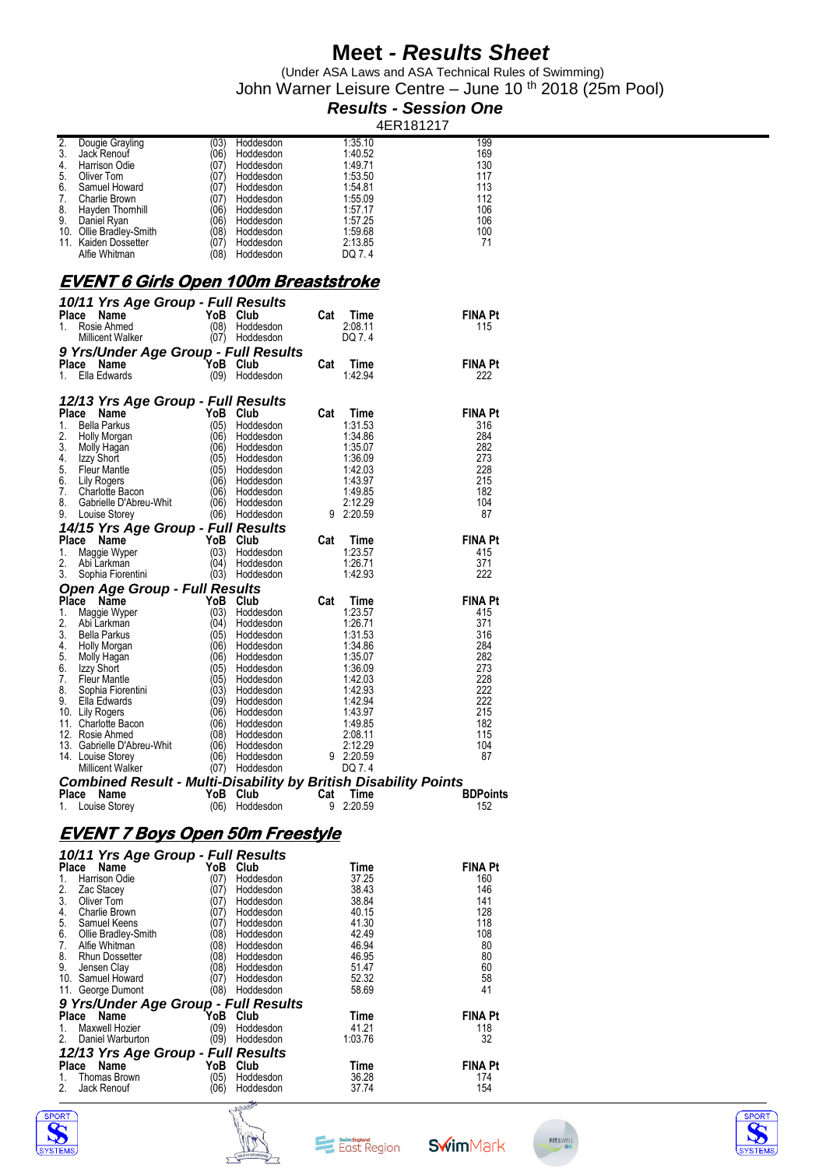(Under ASA Laws and ASA Technical Rules of Swimming) John Warner Leisure Centre – June 10 <sup>th</sup> 2018 (25m Pool)

#### *Results - Session One*

4ER181217

|                                                                 |      |                |     |           | 4 L N 10 1 Z 17 |  |
|-----------------------------------------------------------------|------|----------------|-----|-----------|-----------------|--|
| 2.<br>Dougie Grayling                                           | (03) | Hoddesdon      |     | 1:35.10   | 199             |  |
| 3.<br>Jack Renouf                                               | (06) | Hoddesdon      |     | 1:40.52   | 169             |  |
|                                                                 |      |                |     |           |                 |  |
| 4.<br><b>Harrison Odie</b>                                      | (07) | Hoddesdon      |     | 1:49.71   | 130             |  |
| 5.<br>Oliver Tom                                                | (07) | Hoddesdon      |     | 1:53.50   | 117             |  |
| 6.<br>Samuel Howard                                             | (07) | Hoddesdon      |     | 1:54.81   | 113             |  |
| 7.<br><b>Charlie Brown</b>                                      | (07) | Hoddesdon      |     | 1:55.09   | 112             |  |
| 8.<br>Hayden Thomhill                                           | (06) | Hoddesdon      |     | 1:57.17   | 106             |  |
| 9.<br>Daniel Ryan                                               | (06) | Hoddesdon      |     | 1:57.25   | 106             |  |
|                                                                 | (08) |                |     |           |                 |  |
| 10. Ollie Bradley-Smith                                         |      | Hoddesdon      |     | 1:59.68   | 100             |  |
| 11. Kaiden Dossetter                                            | (07) | Hoddesdon      |     | 2:13.85   | 71              |  |
| Alfie Whitman                                                   | (08) | Hoddesdon      |     | DQ 7.4    |                 |  |
|                                                                 |      |                |     |           |                 |  |
|                                                                 |      |                |     |           |                 |  |
| <u>EVENT 6 Girls Open 100m Breaststroke</u>                     |      |                |     |           |                 |  |
|                                                                 |      |                |     |           |                 |  |
| 10/11 Yrs Age Group - Full Results                              |      |                |     |           |                 |  |
| Place Name                                                      |      | YoB Club       | Cat | Time      | <b>FINA Pt</b>  |  |
| Rosie Ahmed<br>1.                                               | (08) | Hoddesdon      |     | 2:08.11   | 115             |  |
| <b>Millicent Walker</b>                                         | (07) | Hoddesdon      |     | DQ 7.4    |                 |  |
| 9 Yrs/Under Age Group - Full Results                            |      |                |     |           |                 |  |
|                                                                 |      |                |     |           |                 |  |
| Place Name                                                      |      | YoB Club       | Cat | Time      | <b>FINA Pt</b>  |  |
| Ella Edwards<br>1.                                              | (09) | Hoddesdon      |     | 1:42.94   | 222             |  |
|                                                                 |      |                |     |           |                 |  |
| 12/13 Yrs Age Group - Full Results                              |      |                |     |           |                 |  |
|                                                                 |      |                |     |           |                 |  |
| Place Name                                                      |      | YoB Club       | Cat | Time      | <b>FINA Pt</b>  |  |
| <b>Bella Parkus</b><br>1.                                       | (05) | Hoddesdon      |     | 1:31.53   | 316             |  |
| 2.<br>Holly Morgan                                              | (06) | Hoddesdon      |     | 1:34.86   | 284             |  |
| 3.<br>Molly Hagan                                               | (06) | Hoddesdon      |     | 1:35.07   | 282             |  |
| Izzy Short<br>4.                                                | (05) | Hoddesdon      |     | 1:36.09   | 273             |  |
| 5.<br>Fleur Mantle                                              | (05) | Hoddesdon      |     | 1:42.03   | 228             |  |
| 6.<br><b>Lily Rogers</b>                                        | (06) | Hoddesdon      |     | 1:43.97   | 215             |  |
| 7.<br><b>Charlotte Bacon</b>                                    | (06) | Hoddesdon      |     | 1:49.85   | 182             |  |
|                                                                 |      |                |     |           |                 |  |
| 8.<br>Gabrielle D'Abreu-Whit                                    | (06) | Hoddesdon      |     | 2:12.29   | 104             |  |
| 9.<br>Louise Storey                                             | (06) | Hoddesdon      |     | 9 2:20.59 | 87              |  |
| 14/15 Yrs Age Group - Full Results                              |      |                |     |           |                 |  |
| Place Name                                                      | YoB. | Club           | Cat | Time      | <b>FINA Pt</b>  |  |
| 1.                                                              |      |                |     |           |                 |  |
| Maggie Wyper                                                    | (03) | Hoddesdon      |     | 1:23.57   | 415             |  |
| 2.<br>Abi Larkman                                               | (04) | Hoddesdon      |     | 1:26.71   | 371             |  |
| 3.<br>Sophia Fiorentini                                         |      | (03) Hoddesdon |     | 1:42.93   | 222             |  |
| <b>Open Age Group - Full Results</b>                            |      |                |     |           |                 |  |
| Place Name                                                      |      | YoB Club       | Cat | Time      | FINA Pt         |  |
|                                                                 |      |                |     |           |                 |  |
| Maggie Wyper<br>1.                                              | (03) | Hoddesdon      |     | 1:23.57   | 415             |  |
| 2.<br>Abi Larkman                                               | (04) | Hoddesdon      |     | 1:26.71   | 371             |  |
| 3.<br>Bella Parkus                                              | (05) | Hoddesdon      |     | 1:31.53   | 316             |  |
| 4.<br>Holly Morgan                                              | (06) | Hoddesdon      |     | 1:34.86   | 284             |  |
| 5.<br>Molly Hagan                                               | (06) | Hoddesdon      |     | 1:35.07   | 282             |  |
| Izzy Short<br>6.                                                | (05) | Hoddesdon      |     | 1:36.09   | 273             |  |
| 7.<br><b>Fleur Mantle</b>                                       | (05) | Hoddesdon      |     | 1:42.03   | 228             |  |
|                                                                 |      |                |     |           |                 |  |
| 8.<br>Sophia Fiorentini                                         | (03) | Hoddesdon      |     | 1:42.93   | 222             |  |
| 9.<br>Ella Edwards                                              | (09) | Hoddesdon      |     | 1:42.94   | 222             |  |
| 10. Lily Rogers                                                 | (06) | Hoddesdon      |     | 1:43.97   | 215             |  |
| 11. Charlotte Bacon                                             | (06) | Hoddesdon      |     | 1:49.85   | 182             |  |
| 12. Rosie Ahmed                                                 | (08) | Hoddesdon      |     | 2:08.11   | 115             |  |
| 13. Gabrielle D'Abreu-Whit                                      | (06) | Hoddesdon      |     | 2:12.29   | 104             |  |
| 14. Louise Storey                                               | (06) | Hoddesdon      | 9   | 2:20.59   | 87              |  |
| <b>Millicent Walker</b>                                         | (07) | Hoddesdon      |     | DQ 7.4    |                 |  |
|                                                                 |      |                |     |           |                 |  |
| Combined Result - Multi-Disability by British Disability Points |      |                |     |           |                 |  |
| Place Name                                                      |      | YoB Club       | Cat | Time      | <b>BDPoints</b> |  |
| 1. Louise Storey                                                |      | (06) Hoddesdon | 9   | 2:20.59   | 152             |  |
|                                                                 |      |                |     |           |                 |  |
|                                                                 |      |                |     |           |                 |  |
| <u>EVENT 7 Boys Open 50m Freestyle</u>                          |      |                |     |           |                 |  |
|                                                                 |      |                |     |           |                 |  |
| 10/11 Yrs Age Group - Full Results                              |      |                |     |           |                 |  |
| Place Name                                                      |      | YoB Club       |     | Time      | <b>FINA Pt</b>  |  |
| Harrison Odie<br>1.                                             | (07) | Hoddesdon      |     | 37.25     | 160             |  |
| 2.<br>Zac Stacey                                                | (07) | Hoddesdon      |     | 38.43     | 146             |  |
| 3.<br>Oliver Tom                                                | (07) |                |     | 38.84     | 141             |  |
|                                                                 |      | Hoddesdon      |     |           |                 |  |
| 4.<br>Charlie Brown                                             | (07) | Hoddesdon      |     | 40.15     | 128             |  |
| Samuel Keens<br>5.                                              | (07) | Hoddesdon      |     | 41.30     | 118             |  |
| 6.<br>Ollie Bradley-Smith                                       | (08) | Hoddesdon      |     | 42.49     | 108             |  |
| 7.<br>Alfie Whitman                                             | (08) | Hoddesdon      |     | 46.94     | 80              |  |
| 8.<br><b>Rhun Dossetter</b>                                     | (08) | Hoddesdon      |     | 46.95     | 80              |  |
| 9.<br>Jensen Clay                                               | (08) | Hoddesdon      |     | 51.47     | 60              |  |
| 10. Samuel Howard                                               | (07) | Hoddesdon      |     | 52.32     | 58              |  |
|                                                                 |      | (08) Hoddesdon |     |           | 41              |  |
| 11. George Dumont                                               |      |                |     | 58.69     |                 |  |
| 9 Yrs/Under Age Group - Full Results                            |      |                |     |           |                 |  |
| Place Name                                                      |      | YoB Club       |     | Time      | FINA Pt         |  |
| Maxwell Hozier<br>1.                                            | (09) | Hoddesdon      |     | 41.21     | 118             |  |
|                                                                 |      |                |     |           |                 |  |
| 2.<br>Daniel Warburton                                          | (09) | Hoddesdon      |     | 1:03.76   | 32              |  |
| 12/13 Yrs Age Group - Full Results                              |      |                |     |           |                 |  |
| Place Name                                                      | YoB  | Club           |     | Time      | <b>FINA Pt</b>  |  |
| <b>Thomas Brown</b><br>1.                                       | (05) | Hoddesdon      |     | 36.28     | 174             |  |
| Jack Renouf<br>2.                                               |      | Hoddesdon      |     | 37.74     | 154             |  |
|                                                                 | (06) |                |     |           |                 |  |
|                                                                 |      |                |     |           |                 |  |
|                                                                 |      | C-Poster       |     |           |                 |  |







**Swim**Mark

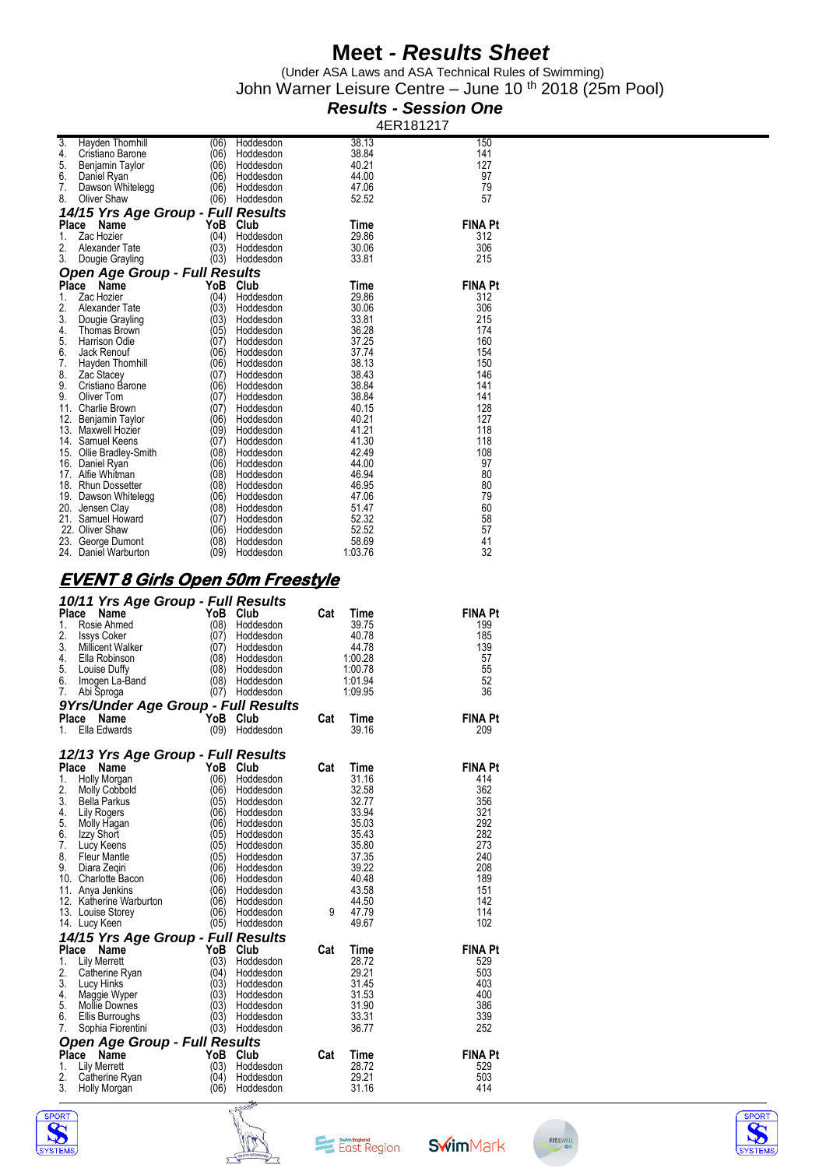(Under ASA Laws and ASA Technical Rules of Swimming) John Warner Leisure Centre – June 10 <sup>th</sup> 2018 (25m Pool)

#### *Results - Session One* 4ER181217

| 3.<br>Hayden Thomhill<br>4.<br>Cristiano Barone                                                                                                                                                                                                                                                                                                                                                                                               | (06)<br>Hoddesdon<br>(06)<br>Hoddesdon | 38.13<br>38.84       | 150<br>141            |
|-----------------------------------------------------------------------------------------------------------------------------------------------------------------------------------------------------------------------------------------------------------------------------------------------------------------------------------------------------------------------------------------------------------------------------------------------|----------------------------------------|----------------------|-----------------------|
| 5.<br>Benjamin Taylor                                                                                                                                                                                                                                                                                                                                                                                                                         | (06)<br>Hoddesdon                      | 40.21                | 127                   |
| 6.<br>Daniel Ryan<br>7.<br>Dawson Whitelegg                                                                                                                                                                                                                                                                                                                                                                                                   | (06)<br>Hoddesdon<br>(06)<br>Hoddesdon | 44.00<br>47.06       | 97<br>79              |
| 8.<br>Oliver Shaw                                                                                                                                                                                                                                                                                                                                                                                                                             | (06)<br>Hoddesdon                      | 52.52                | 57                    |
| 14/15 Yrs Age Group - Full Results                                                                                                                                                                                                                                                                                                                                                                                                            |                                        |                      |                       |
| Place<br>Name<br>1.<br>Zac Hozier                                                                                                                                                                                                                                                                                                                                                                                                             | YoB<br>Club<br>(04)<br>Hoddesdon       | Time<br>29.86        | <b>FINA Pt</b><br>312 |
| 2.<br>Alexander Tate                                                                                                                                                                                                                                                                                                                                                                                                                          | (03)<br>Hoddesdon                      | 30.06                | 306                   |
| 3.<br>Dougie Grayling                                                                                                                                                                                                                                                                                                                                                                                                                         | (03)<br>Hoddesdon                      | 33.81                | 215                   |
| <b>Open Age Group - Full Results</b>                                                                                                                                                                                                                                                                                                                                                                                                          |                                        |                      |                       |
| Place Name<br>Zac Hozier<br>1.                                                                                                                                                                                                                                                                                                                                                                                                                | YoB Club<br>(04)<br>Hoddesdon          | Time<br>29.86        | <b>FINA Pt</b><br>312 |
| 2.<br>Alexander Tate                                                                                                                                                                                                                                                                                                                                                                                                                          | (03)<br>Hoddesdon                      | 30.06                | 306                   |
| 3.<br>Dougie Grayling<br>4.                                                                                                                                                                                                                                                                                                                                                                                                                   | (03)<br>Hoddesdon<br>(05)              | 33.81                | 215<br>174            |
| Thomas Brown<br>5.<br>Harrison Odie                                                                                                                                                                                                                                                                                                                                                                                                           | Hoddesdon<br>(07)<br>Hoddesdon         | 36.28<br>37.25       | 160                   |
| 6.<br>Jack Renouf                                                                                                                                                                                                                                                                                                                                                                                                                             | (06)<br>Hoddesdon                      | 37.74                | 154                   |
| 7.<br>Hayden Thomhill<br>8.<br>Zac Stacey                                                                                                                                                                                                                                                                                                                                                                                                     | (06)<br>Hoddesdon<br>(07)<br>Hoddesdon | 38.13<br>38.43       | 150<br>146            |
| 9.<br>Cristiano Barone                                                                                                                                                                                                                                                                                                                                                                                                                        | (06)<br>Hoddesdon                      | 38.84                | 141                   |
| 9.<br>Oliver Tom                                                                                                                                                                                                                                                                                                                                                                                                                              | (07)<br>Hoddesdon                      | 38.84                | 141                   |
| 11. Charlie Brown<br>12. Benjamin Taylor                                                                                                                                                                                                                                                                                                                                                                                                      | (07)<br>Hoddesdon<br>(06)<br>Hoddesdon | 40.15<br>40.21       | 128<br>127            |
| 13. Maxwell Hozier                                                                                                                                                                                                                                                                                                                                                                                                                            | (09)<br>Hoddesdon                      | 41.21                | 118                   |
| 14. Samuel Keens                                                                                                                                                                                                                                                                                                                                                                                                                              | (07)<br>Hoddesdon                      | 41.30                | 118                   |
| 15. Ollie Bradley-Smith<br>16. Daniel Ryan                                                                                                                                                                                                                                                                                                                                                                                                    | (08)<br>Hoddesdon<br>(06)<br>Hoddesdon | 42.49<br>44.00       | 108<br>97             |
| 17. Alfie Whitman                                                                                                                                                                                                                                                                                                                                                                                                                             | (08)<br>Hoddesdon                      | 46.94                | 80                    |
| 18. Rhun Dossetter                                                                                                                                                                                                                                                                                                                                                                                                                            | (08)<br>Hoddesdon                      | 46.95<br>47.06       | 80                    |
| 19. Dawson Whitelegg<br>20. Jensen Clay                                                                                                                                                                                                                                                                                                                                                                                                       | (06)<br>Hoddesdon<br>(08)<br>Hoddesdon | 51.47                | 79<br>60              |
| 21. Samuel Howard                                                                                                                                                                                                                                                                                                                                                                                                                             | (07)<br>Hoddesdon                      | 52.32                | 58                    |
| 22. Oliver Shaw<br>23. George Dumont                                                                                                                                                                                                                                                                                                                                                                                                          | (06)<br>Hoddesdon<br>(08)<br>Hoddesdon | 52.52<br>58.69       | 57<br>41              |
| 24. Daniel Warburton                                                                                                                                                                                                                                                                                                                                                                                                                          | (09)<br>Hoddesdon                      | 1:03.76              | 32                    |
|                                                                                                                                                                                                                                                                                                                                                                                                                                               |                                        |                      |                       |
|                                                                                                                                                                                                                                                                                                                                                                                                                                               |                                        |                      |                       |
| <u>EVENT 8 Girls Open 50m Freestyle</u>                                                                                                                                                                                                                                                                                                                                                                                                       |                                        |                      |                       |
| 10/11 Yrs Age Group - Full Results                                                                                                                                                                                                                                                                                                                                                                                                            |                                        |                      |                       |
| Name                                                                                                                                                                                                                                                                                                                                                                                                                                          | YoB<br>Club                            | Cat<br>Time          | <b>FINA Pt</b>        |
| Rosie Ahmed<br><b>Issys Coker</b>                                                                                                                                                                                                                                                                                                                                                                                                             | (08)<br>Hoddesdon<br>(07)<br>Hoddesdon | 39.75<br>40.78       | 199<br>185            |
| Millicent Walker                                                                                                                                                                                                                                                                                                                                                                                                                              | (07)<br>Hoddesdon                      | 44.78                | 139                   |
| Ella Robinson                                                                                                                                                                                                                                                                                                                                                                                                                                 | (08)<br>Hoddesdon                      | 1:00.28              | 57                    |
| Louise Duffy<br>Imogen La-Band                                                                                                                                                                                                                                                                                                                                                                                                                | (08)<br>Hoddesdon<br>(08)<br>Hoddesdon | 1:00.78<br>1:01.94   | 55<br>52              |
| Abi Sproga                                                                                                                                                                                                                                                                                                                                                                                                                                    | (07)<br>Hoddesdon                      | 1:09.95              | 36                    |
|                                                                                                                                                                                                                                                                                                                                                                                                                                               |                                        |                      |                       |
| Ella Edwards                                                                                                                                                                                                                                                                                                                                                                                                                                  | YoB<br>Club<br>(09)<br>Hoddesdon       | Cat<br>Time<br>39.16 | FINA Pt<br>209        |
|                                                                                                                                                                                                                                                                                                                                                                                                                                               |                                        |                      |                       |
|                                                                                                                                                                                                                                                                                                                                                                                                                                               |                                        |                      |                       |
| Name<br>Holly Morgan                                                                                                                                                                                                                                                                                                                                                                                                                          | YoB<br>Club<br>(06)<br>Hoddesdon       | Cat<br>Time<br>31.16 | <b>FINA Pt</b><br>414 |
| <b>Molly Cobbold</b>                                                                                                                                                                                                                                                                                                                                                                                                                          | (06)<br>Hoddesdon                      | 32.58                | 362                   |
| <b>Bella Parkus</b>                                                                                                                                                                                                                                                                                                                                                                                                                           | (05)<br>Hoddesdon                      | 32.77                | 356                   |
| Lily Rogers<br>Molly Hagan                                                                                                                                                                                                                                                                                                                                                                                                                    | (06)<br>Hoddesdon<br>(06<br>Hoddesdon  | 33.94<br>35.03       | 321<br>292            |
| Izzy Short                                                                                                                                                                                                                                                                                                                                                                                                                                    | (05)<br>Hoddesdon                      | 35.43                | 282                   |
| Lucy Keens<br>Fleur Mantle                                                                                                                                                                                                                                                                                                                                                                                                                    | (05)<br>Hoddesdon                      | 35.80                | 273<br>240            |
| Diara Zegiri                                                                                                                                                                                                                                                                                                                                                                                                                                  | (05)<br>Hoddesdon<br>(06)<br>Hoddesdon | 37.35<br>39.22       | 208                   |
|                                                                                                                                                                                                                                                                                                                                                                                                                                               | (06)<br>Hoddesdon                      | 40.48                | 189                   |
|                                                                                                                                                                                                                                                                                                                                                                                                                                               | (06)<br>Hoddesdon<br>(06)<br>Hoddesdon | 43.58<br>44.50       | 151<br>142            |
|                                                                                                                                                                                                                                                                                                                                                                                                                                               | (06)<br>Hoddesdon                      | 9<br>47.79           | 114                   |
|                                                                                                                                                                                                                                                                                                                                                                                                                                               | (05)<br>Hoddesdon                      | 49.67                | 102                   |
|                                                                                                                                                                                                                                                                                                                                                                                                                                               |                                        |                      |                       |
| Name<br>Lily Merrett                                                                                                                                                                                                                                                                                                                                                                                                                          | YoB<br>Club<br>(03)<br>Hoddesdon       | Cat<br>Time<br>28.72 | <b>FINA Pt</b><br>529 |
| Catherine Ryan                                                                                                                                                                                                                                                                                                                                                                                                                                | (04)<br>Hoddesdon                      | 29.21                | 503                   |
| Lucy Hinks                                                                                                                                                                                                                                                                                                                                                                                                                                    | (03)<br>Hoddesdon                      | 31.45                | 403                   |
| Maggie Wyper<br><b>Mollie Downes</b>                                                                                                                                                                                                                                                                                                                                                                                                          | (03)<br>Hoddesdon<br>(03)<br>Hoddesdon | 31.53<br>31.90       | 400<br>386            |
| Ellis Burroughs                                                                                                                                                                                                                                                                                                                                                                                                                               | (03)<br>Hoddesdon                      | 33.31                | 339                   |
| Sophia Fiorentini                                                                                                                                                                                                                                                                                                                                                                                                                             | (03)<br>Hoddesdon                      | 36.77                | 252                   |
| 12/13 Yrs Age Group - Full Results<br>14/15 Yrs Age Group - Full Results                                                                                                                                                                                                                                                                                                                                                                      | YoB<br>Club                            |                      | <b>FINA Pt</b>        |
| Name<br><b>Lily Merrett</b>                                                                                                                                                                                                                                                                                                                                                                                                                   | (03)<br>Hoddesdon                      | Cat<br>Time<br>28.72 | 529                   |
| Place<br>1.<br>2.<br>3.<br>4.<br>5.<br>6.<br>7.<br>9Yrs/Under Age Group - Full Results<br>Place Name<br>1.<br>Place<br>1.<br>2.<br>3.<br>4.<br>5.<br>6.<br>7.<br>8.<br>9.<br>10. Charlotte Bacon<br>11. Anya Jenkins<br>12. Katherine Warburton<br>13. Louise Storey<br>14. Lucy Keen<br>Place<br>1.<br>2.<br>3.<br>4.<br>5.<br>6.<br>7.<br><b>Open Age Group - Full Results</b><br>Place<br>1.<br>2.<br>Catherine Ryan<br>3.<br>Holly Morgan | (04)<br>Hoddesdon<br>(06)<br>Hoddesdon | 29.21<br>31.16       | 503<br>414            |